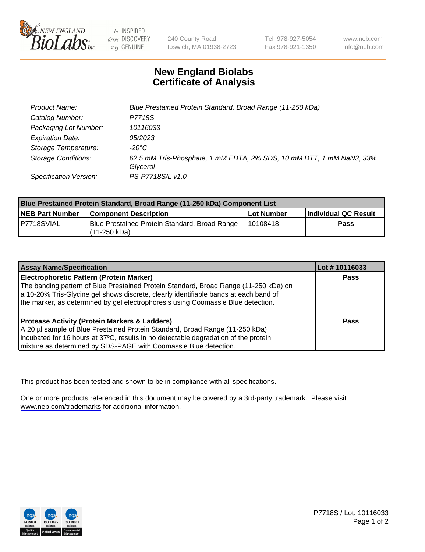

be INSPIRED drive DISCOVERY stay GENUINE

240 County Road Ipswich, MA 01938-2723 Tel 978-927-5054 Fax 978-921-1350

www.neb.com info@neb.com

## **New England Biolabs Certificate of Analysis**

| Product Name:              | Blue Prestained Protein Standard, Broad Range (11-250 kDa)                       |
|----------------------------|----------------------------------------------------------------------------------|
| Catalog Number:            | P7718S                                                                           |
| Packaging Lot Number:      | 10116033                                                                         |
| <b>Expiration Date:</b>    | 05/2023                                                                          |
| Storage Temperature:       | -20°C                                                                            |
| <b>Storage Conditions:</b> | 62.5 mM Tris-Phosphate, 1 mM EDTA, 2% SDS, 10 mM DTT, 1 mM NaN3, 33%<br>Glycerol |
| Specification Version:     | PS-P7718S/L v1.0                                                                 |

| <b>Blue Prestained Protein Standard, Broad Range (11-250 kDa) Component List</b> |                                                                 |              |                      |  |
|----------------------------------------------------------------------------------|-----------------------------------------------------------------|--------------|----------------------|--|
| <b>NEB Part Number</b>                                                           | <b>Component Description</b>                                    | l Lot Number | Individual QC Result |  |
| P7718SVIAL                                                                       | Blue Prestained Protein Standard, Broad Range<br>l (11-250 kDa) | 110108418    | <b>Pass</b>          |  |

| <b>Assay Name/Specification</b>                                                      | Lot #10116033 |
|--------------------------------------------------------------------------------------|---------------|
| <b>Electrophoretic Pattern (Protein Marker)</b>                                      | <b>Pass</b>   |
| The banding pattern of Blue Prestained Protein Standard, Broad Range (11-250 kDa) on |               |
| a 10-20% Tris-Glycine gel shows discrete, clearly identifiable bands at each band of |               |
| the marker, as determined by gel electrophoresis using Coomassie Blue detection.     |               |
|                                                                                      |               |
| <b>Protease Activity (Protein Markers &amp; Ladders)</b>                             | <b>Pass</b>   |
| A 20 µl sample of Blue Prestained Protein Standard, Broad Range (11-250 kDa)         |               |
| incubated for 16 hours at 37°C, results in no detectable degradation of the protein  |               |
| mixture as determined by SDS-PAGE with Coomassie Blue detection.                     |               |

This product has been tested and shown to be in compliance with all specifications.

One or more products referenced in this document may be covered by a 3rd-party trademark. Please visit <www.neb.com/trademarks>for additional information.